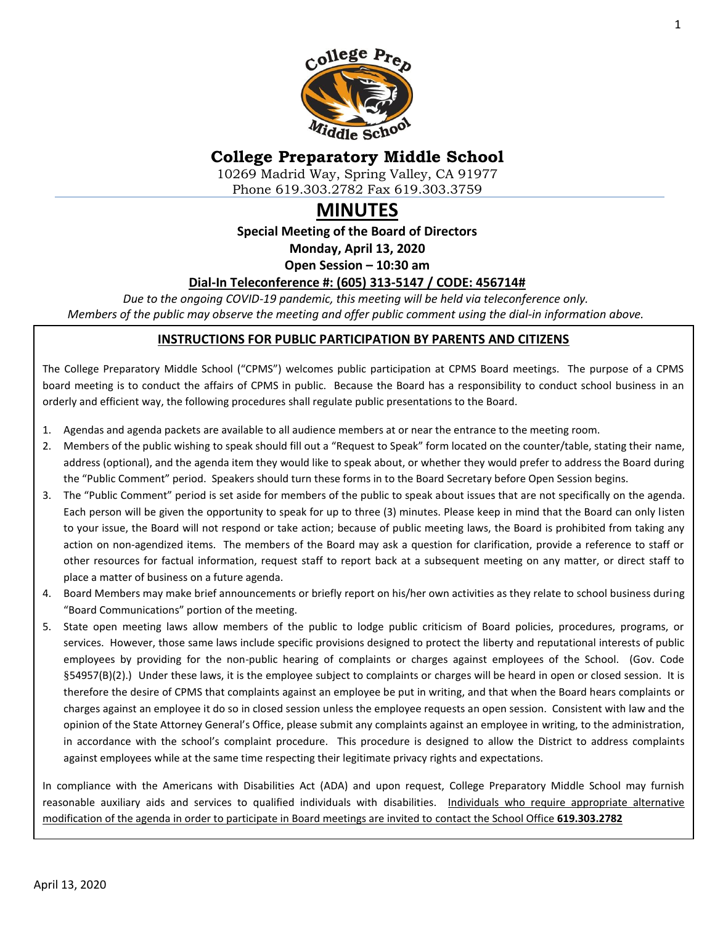

# **College Preparatory Middle School**

10269 Madrid Way, Spring Valley, CA 91977 Phone 619.303.2782 Fax 619.303.3759

# **MINUTES**

**Special Meeting of the Board of Directors**

**Monday, April 13, 2020**

**Open Session – 10:30 am**

#### **Dial-In Teleconference #: (605) 313-5147 / CODE: 456714#**

*Due to the ongoing COVID-19 pandemic, this meeting will be held via teleconference only. Members of the public may observe the meeting and offer public comment using the dial-in information above.*

#### **INSTRUCTIONS FOR PUBLIC PARTICIPATION BY PARENTS AND CITIZENS**

The College Preparatory Middle School ("CPMS") welcomes public participation at CPMS Board meetings. The purpose of a CPMS board meeting is to conduct the affairs of CPMS in public. Because the Board has a responsibility to conduct school business in an orderly and efficient way, the following procedures shall regulate public presentations to the Board.

- 1. Agendas and agenda packets are available to all audience members at or near the entrance to the meeting room.
- 2. Members of the public wishing to speak should fill out a "Request to Speak" form located on the counter/table, stating their name, address (optional), and the agenda item they would like to speak about, or whether they would prefer to address the Board during the "Public Comment" period. Speakers should turn these forms in to the Board Secretary before Open Session begins.
- 3. The "Public Comment" period is set aside for members of the public to speak about issues that are not specifically on the agenda. Each person will be given the opportunity to speak for up to three (3) minutes. Please keep in mind that the Board can only listen to your issue, the Board will not respond or take action; because of public meeting laws, the Board is prohibited from taking any action on non-agendized items. The members of the Board may ask a question for clarification, provide a reference to staff or other resources for factual information, request staff to report back at a subsequent meeting on any matter, or direct staff to place a matter of business on a future agenda.
- 4. Board Members may make brief announcements or briefly report on his/her own activities as they relate to school business during "Board Communications" portion of the meeting.
- 5. State open meeting laws allow members of the public to lodge public criticism of Board policies, procedures, programs, or services. However, those same laws include specific provisions designed to protect the liberty and reputational interests of public employees by providing for the non-public hearing of complaints or charges against employees of the School. (Gov. Code §54957(B)(2).) Under these laws, it is the employee subject to complaints or charges will be heard in open or closed session. It is therefore the desire of CPMS that complaints against an employee be put in writing, and that when the Board hears complaints or charges against an employee it do so in closed session unless the employee requests an open session. Consistent with law and the opinion of the State Attorney General's Office, please submit any complaints against an employee in writing, to the administration, in accordance with the school's complaint procedure. This procedure is designed to allow the District to address complaints against employees while at the same time respecting their legitimate privacy rights and expectations.

In compliance with the Americans with Disabilities Act (ADA) and upon request, College Preparatory Middle School may furnish reasonable auxiliary aids and services to qualified individuals with disabilities. Individuals who require appropriate alternative modification of the agenda in order to participate in Board meetings are invited to contact the School Office **619.303.2782**